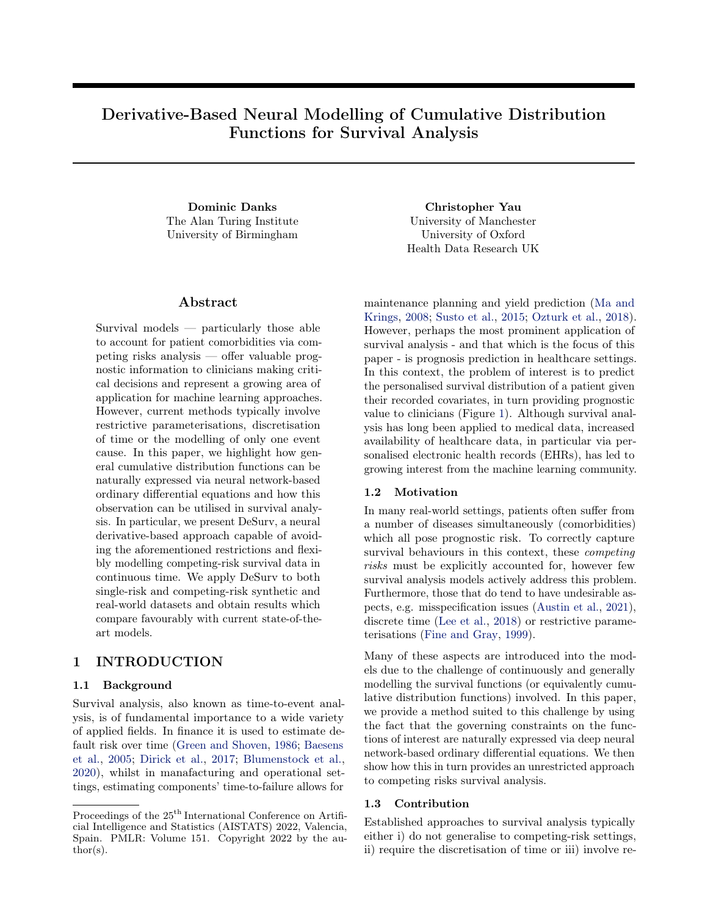# Derivative-Based Neural Modelling of Cumulative Distribution Functions for Survival Analysis

Dominic Danks Christopher Yau The Alan Turing Institute University of Birmingham

### Abstract

Survival models — particularly those able to account for patient comorbidities via competing risks analysis — offer valuable prognostic information to clinicians making critical decisions and represent a growing area of application for machine learning approaches. However, current methods typically involve restrictive parameterisations, discretisation of time or the modelling of only one event cause. In this paper, we highlight how general cumulative distribution functions can be naturally expressed via neural network-based ordinary differential equations and how this observation can be utilised in survival analysis. In particular, we present DeSurv, a neural derivative-based approach capable of avoiding the aforementioned restrictions and flexibly modelling competing-risk survival data in continuous time. We apply DeSurv to both single-risk and competing-risk synthetic and real-world datasets and obtain results which compare favourably with current state-of-theart models.

# 1 INTRODUCTION

### 1.1 Background

Survival analysis, also known as time-to-event analysis, is of fundamental importance to a wide variety of applied fields. In finance it is used to estimate default risk over time [\(Green and Shoven,](#page-9-0) [1986;](#page-9-0) [Baesens](#page-8-0) [et al.,](#page-8-0) [2005;](#page-8-0) [Dirick et al.,](#page-9-0) [2017;](#page-9-0) [Blumenstock et al.,](#page-8-0) [2020\)](#page-8-0), whilst in manafacturing and operational settings, estimating components' time-to-failure allows for

University of Manchester University of Oxford Health Data Research UK

maintenance planning and yield prediction [\(Ma and](#page-10-0) [Krings,](#page-10-0) [2008;](#page-10-0) [Susto et al.,](#page-10-0) [2015;](#page-10-0) [Ozturk et al.,](#page-10-0) [2018\)](#page-10-0). However, perhaps the most prominent application of survival analysis - and that which is the focus of this paper - is prognosis prediction in healthcare settings. In this context, the problem of interest is to predict the personalised survival distribution of a patient given their recorded covariates, in turn providing prognostic value to clinicians (Figure [1\)](#page-1-0). Although survival analysis has long been applied to medical data, increased availability of healthcare data, in particular via personalised electronic health records (EHRs), has led to growing interest from the machine learning community.

#### 1.2 Motivation

In many real-world settings, patients often suffer from a number of diseases simultaneously (comorbidities) which all pose prognostic risk. To correctly capture survival behaviours in this context, these competing risks must be explicitly accounted for, however few survival analysis models actively address this problem. Furthermore, those that do tend to have undesirable aspects, e.g. misspecification issues [\(Austin et al.,](#page-8-0) [2021\)](#page-8-0), discrete time [\(Lee et al.,](#page-10-0) [2018\)](#page-10-0) or restrictive parameterisations [\(Fine and Gray,](#page-9-0) [1999\)](#page-9-0).

Many of these aspects are introduced into the models due to the challenge of continuously and generally modelling the survival functions (or equivalently cumulative distribution functions) involved. In this paper, we provide a method suited to this challenge by using the fact that the governing constraints on the functions of interest are naturally expressed via deep neural network-based ordinary differential equations. We then show how this in turn provides an unrestricted approach to competing risks survival analysis.

#### 1.3 Contribution

Established approaches to survival analysis typically either i) do not generalise to competing-risk settings, ii) require the discretisation of time or iii) involve re-

Proceedings of the  $25<sup>th</sup>$  International Conference on Artificial Intelligence and Statistics (AISTATS) 2022, Valencia, Spain. PMLR: Volume 151. Copyright 2022 by the au- $\text{thor}(s)$ .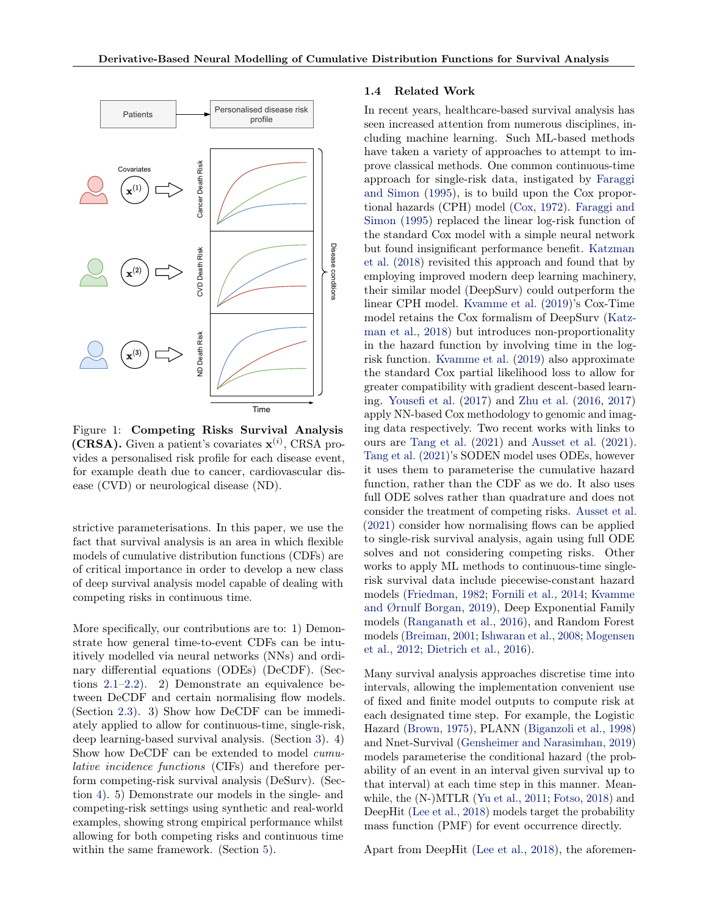<span id="page-1-0"></span>

Figure 1: Competing Risks Survival Analysis (CRSA). Given a patient's covariates  $\mathbf{x}^{(i)}$ , CRSA provides a personalised risk profile for each disease event, for example death due to cancer, cardiovascular disease (CVD) or neurological disease (ND).

strictive parameterisations. In this paper, we use the fact that survival analysis is an area in which flexible models of cumulative distribution functions (CDFs) are of critical importance in order to develop a new class of deep survival analysis model capable of dealing with competing risks in continuous time.

More specifically, our contributions are to: 1) Demonstrate how general time-to-event CDFs can be intuitively modelled via neural networks (NNs) and ordinary differential equations (ODEs) (DeCDF). (Sections [2.1–2.2\)](#page-2-0). 2) Demonstrate an equivalence between DeCDF and certain normalising flow models. (Section [2.3\)](#page-3-0). 3) Show how DeCDF can be immediately applied to allow for continuous-time, single-risk, deep learning-based survival analysis. (Section [3\)](#page-4-0). 4) Show how DeCDF can be extended to model cumulative incidence functions (CIFs) and therefore perform competing-risk survival analysis (DeSurv). (Section [4\)](#page-4-0). 5) Demonstrate our models in the single- and competing-risk settings using synthetic and real-world examples, showing strong empirical performance whilst allowing for both competing risks and continuous time within the same framework. (Section [5\)](#page-5-0).

#### 1.4 Related Work

In recent years, healthcare-based survival analysis has seen increased attention from numerous disciplines, including machine learning. Such ML-based methods have taken a variety of approaches to attempt to improve classical methods. One common continuous-time approach for single-risk data, instigated by [Faraggi](#page-9-0) [and Simon](#page-9-0) [\(1995\)](#page-9-0), is to build upon the Cox proportional hazards (CPH) model [\(Cox,](#page-9-0) [1972\)](#page-9-0). [Faraggi and](#page-9-0) [Simon](#page-9-0) [\(1995\)](#page-9-0) replaced the linear log-risk function of the standard Cox model with a simple neural network but found insignificant performance benefit. [Katzman](#page-9-0) [et al.](#page-9-0) [\(2018\)](#page-9-0) revisited this approach and found that by employing improved modern deep learning machinery, their similar model (DeepSurv) could outperform the linear CPH model. [Kvamme et al.](#page-9-0) [\(2019\)](#page-9-0)'s Cox-Time model retains the Cox formalism of DeepSurv [\(Katz](#page-9-0)[man et al.,](#page-9-0) [2018\)](#page-9-0) but introduces non-proportionality in the hazard function by involving time in the logrisk function. [Kvamme et al.](#page-9-0) [\(2019\)](#page-9-0) also approximate the standard Cox partial likelihood loss to allow for greater compatibility with gradient descent-based learning. [Yousefi et al.](#page-10-0) [\(2017\)](#page-10-0) and [Zhu et al.](#page-10-0) [\(2016,](#page-10-0) [2017\)](#page-10-0) apply NN-based Cox methodology to genomic and imaging data respectively. Two recent works with links to ours are [Tang et al.](#page-10-0) [\(2021\)](#page-10-0) and [Ausset et al.](#page-8-0) [\(2021\)](#page-8-0). [Tang et al.](#page-10-0) [\(2021\)](#page-10-0)'s SODEN model uses ODEs, however it uses them to parameterise the cumulative hazard function, rather than the CDF as we do. It also uses full ODE solves rather than quadrature and does not consider the treatment of competing risks. [Ausset et al.](#page-8-0) [\(2021\)](#page-8-0) consider how normalising flows can be applied to single-risk survival analysis, again using full ODE solves and not considering competing risks. Other works to apply ML methods to continuous-time singlerisk survival data include piecewise-constant hazard models [\(Friedman,](#page-9-0) [1982;](#page-9-0) [Fornili et al.,](#page-9-0) [2014;](#page-9-0) [Kvamme](#page-9-0) [and Ørnulf Borgan,](#page-9-0) [2019\)](#page-9-0), Deep Exponential Family models [\(Ranganath et al.,](#page-10-0) [2016\)](#page-10-0), and Random Forest models [\(Breiman,](#page-8-0) [2001;](#page-8-0) [Ishwaran et al.,](#page-9-0) [2008;](#page-9-0) [Mogensen](#page-10-0) [et al.,](#page-10-0) [2012;](#page-10-0) [Dietrich et al.,](#page-9-0) [2016\)](#page-9-0).

Many survival analysis approaches discretise time into intervals, allowing the implementation convenient use of fixed and finite model outputs to compute risk at each designated time step. For example, the Logistic Hazard [\(Brown,](#page-8-0) [1975\)](#page-8-0), PLANN [\(Biganzoli et al.,](#page-8-0) [1998\)](#page-8-0) and Nnet-Survival [\(Gensheimer and Narasimhan,](#page-9-0) [2019\)](#page-9-0) models parameterise the conditional hazard (the probability of an event in an interval given survival up to that interval) at each time step in this manner. Meanwhile, the (N-)MTLR [\(Yu et al.,](#page-10-0) [2011;](#page-10-0) [Fotso,](#page-9-0) [2018\)](#page-9-0) and DeepHit [\(Lee et al.,](#page-10-0) [2018\)](#page-10-0) models target the probability mass function (PMF) for event occurrence directly.

Apart from DeepHit [\(Lee et al.,](#page-10-0) [2018\)](#page-10-0), the aforemen-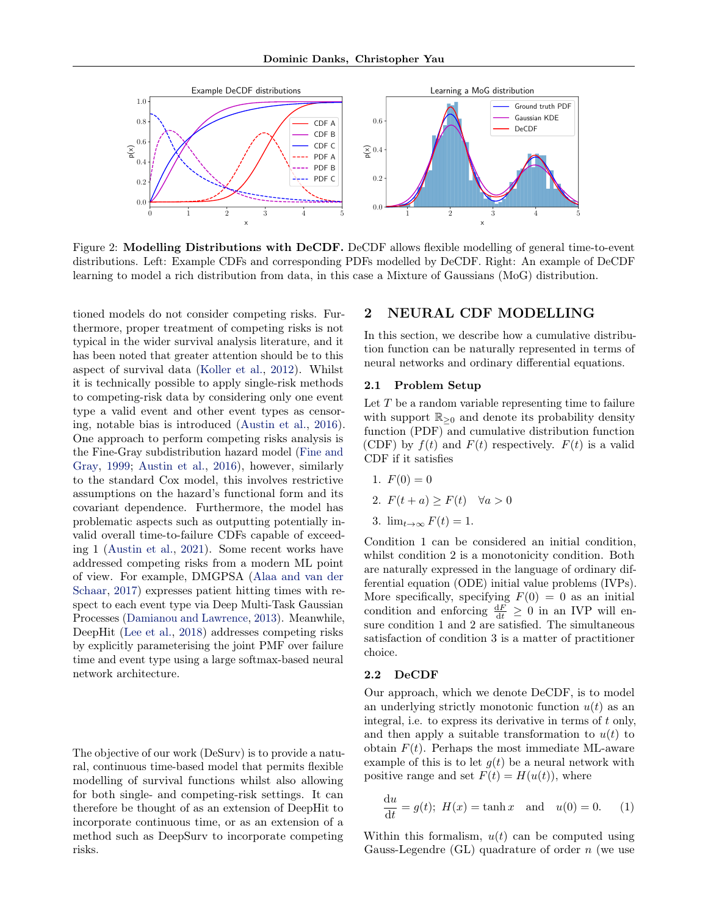<span id="page-2-0"></span>

Figure 2: Modelling Distributions with DeCDF. DeCDF allows flexible modelling of general time-to-event distributions. Left: Example CDFs and corresponding PDFs modelled by DeCDF. Right: An example of DeCDF learning to model a rich distribution from data, in this case a Mixture of Gaussians (MoG) distribution.

tioned models do not consider competing risks. Furthermore, proper treatment of competing risks is not typical in the wider survival analysis literature, and it has been noted that greater attention should be to this aspect of survival data [\(Koller et al.,](#page-9-0) [2012\)](#page-9-0). Whilst it is technically possible to apply single-risk methods to competing-risk data by considering only one event type a valid event and other event types as censoring, notable bias is introduced [\(Austin et al.,](#page-8-0) [2016\)](#page-8-0). One approach to perform competing risks analysis is the Fine-Gray subdistribution hazard model [\(Fine and](#page-9-0) [Gray,](#page-9-0) [1999;](#page-9-0) [Austin et al.,](#page-8-0) [2016\)](#page-8-0), however, similarly to the standard Cox model, this involves restrictive assumptions on the hazard's functional form and its covariant dependence. Furthermore, the model has problematic aspects such as outputting potentially invalid overall time-to-failure CDFs capable of exceeding 1 [\(Austin et al.,](#page-8-0) [2021\)](#page-8-0). Some recent works have addressed competing risks from a modern ML point of view. For example, DMGPSA [\(Alaa and van der](#page-8-0) [Schaar,](#page-8-0) [2017\)](#page-8-0) expresses patient hitting times with respect to each event type via Deep Multi-Task Gaussian Processes [\(Damianou and Lawrence,](#page-9-0) [2013\)](#page-9-0). Meanwhile, DeepHit [\(Lee et al.,](#page-10-0) [2018\)](#page-10-0) addresses competing risks by explicitly parameterising the joint PMF over failure time and event type using a large softmax-based neural network architecture.

The objective of our work (DeSurv) is to provide a natural, continuous time-based model that permits flexible modelling of survival functions whilst also allowing for both single- and competing-risk settings. It can therefore be thought of as an extension of DeepHit to incorporate continuous time, or as an extension of a method such as DeepSurv to incorporate competing risks.

# 2 NEURAL CDF MODELLING

In this section, we describe how a cumulative distribution function can be naturally represented in terms of neural networks and ordinary differential equations.

#### 2.1 Problem Setup

Let  $T$  be a random variable representing time to failure with support  $\mathbb{R}_{\geq 0}$  and denote its probability density function (PDF) and cumulative distribution function (CDF) by  $f(t)$  and  $F(t)$  respectively.  $F(t)$  is a valid CDF if it satisfies

1.  $F(0) = 0$ 

2. 
$$
F(t+a) \geq F(t) \quad \forall a > 0
$$

3. 
$$
\lim_{t \to \infty} F(t) = 1.
$$

Condition 1 can be considered an initial condition, whilst condition 2 is a monotonicity condition. Both are naturally expressed in the language of ordinary differential equation (ODE) initial value problems (IVPs). More specifically, specifying  $F(0) = 0$  as an initial condition and enforcing  $\frac{dF}{dt} \geq 0$  in an IVP will ensure condition 1 and 2 are satisfied. The simultaneous satisfaction of condition 3 is a matter of practitioner choice.

#### 2.2 DeCDF

Our approach, which we denote DeCDF, is to model an underlying strictly monotonic function  $u(t)$  as an integral, i.e. to express its derivative in terms of  $t$  only, and then apply a suitable transformation to  $u(t)$  to obtain  $F(t)$ . Perhaps the most immediate ML-aware example of this is to let  $g(t)$  be a neural network with positive range and set  $F(t) = H(u(t))$ , where

$$
\frac{\mathrm{d}u}{\mathrm{d}t} = g(t); \ H(x) = \tanh x \quad \text{and} \quad u(0) = 0. \tag{1}
$$

Within this formalism,  $u(t)$  can be computed using Gauss-Legendre  $(GL)$  quadrature of order n (we use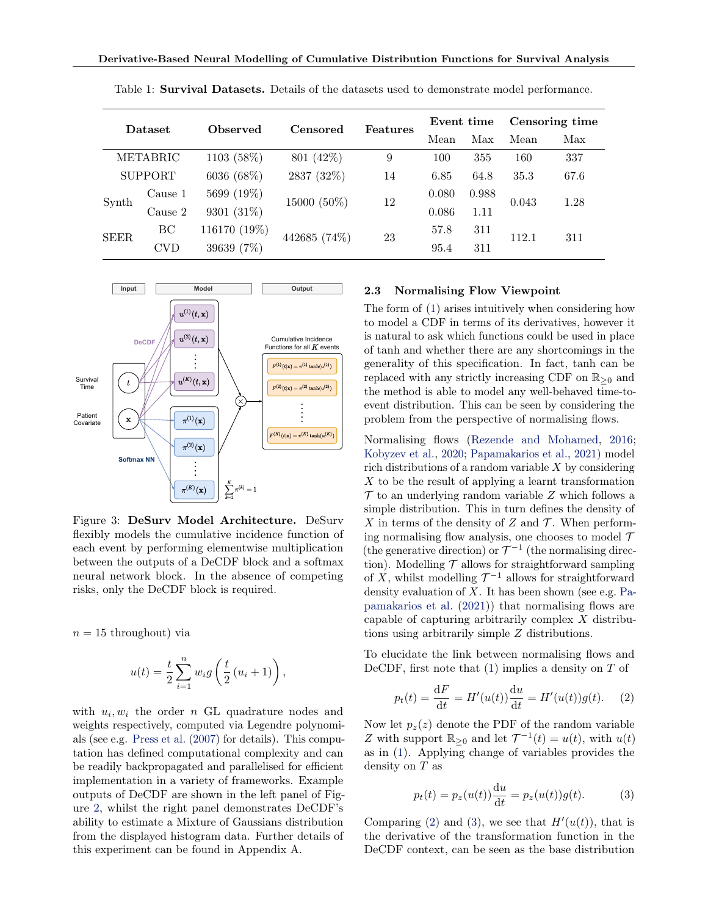| Dataset     |                | Observed     | Censored     | <b>Features</b>   | Event time |       | Censoring time |      |
|-------------|----------------|--------------|--------------|-------------------|------------|-------|----------------|------|
|             |                |              |              |                   | Mean       | Max   | Mean           | Max  |
|             | METABRIC       | 1103 (58%)   | 801 (42%)    | 9                 | 100        | 355   | 160            | 337  |
|             | <b>SUPPORT</b> | 6036 (68%)   | 2837 (32%)   | 14                | 6.85       | 64.8  | 35.3           | 67.6 |
| Synth       | Cause 1        | 5699 (19%)   |              | 15000 (50%)<br>12 | 0.080      | 0.988 | 0.043          | 1.28 |
|             | Cause 2        | 9301 (31%)   |              |                   | 0.086      | 1.11  |                |      |
| <b>SEER</b> | BC             | 116170 (19%) | 442685 (74%) | 23                | 57.8       | 311   | 112.1          | 311  |
|             | CVD            | 39639 (7%)   |              |                   | 95.4       | 311   |                |      |

<span id="page-3-0"></span>Table 1: Survival Datasets. Details of the datasets used to demonstrate model performance.



Figure 3: DeSurv Model Architecture. DeSurv flexibly models the cumulative incidence function of each event by performing elementwise multiplication between the outputs of a DeCDF block and a softmax neural network block. In the absence of competing risks, only the DeCDF block is required.

 $n = 15$  throughout) via

$$
u(t) = \frac{t}{2} \sum_{i=1}^{n} w_i g\left(\frac{t}{2} (u_i + 1)\right),
$$

with  $u_i, w_i$  the order n GL quadrature nodes and weights respectively, computed via Legendre polynomials (see e.g. [Press et al.](#page-10-0) [\(2007\)](#page-10-0) for details). This computation has defined computational complexity and can be readily backpropagated and parallelised for efficient implementation in a variety of frameworks. Example outputs of DeCDF are shown in the left panel of Figure [2,](#page-2-0) whilst the right panel demonstrates DeCDF's ability to estimate a Mixture of Gaussians distribution from the displayed histogram data. Further details of this experiment can be found in Appendix A.

### 2.3 Normalising Flow Viewpoint

The form of [\(1\)](#page-2-0) arises intuitively when considering how to model a CDF in terms of its derivatives, however it is natural to ask which functions could be used in place of tanh and whether there are any shortcomings in the generality of this specification. In fact, tanh can be replaced with any strictly increasing CDF on  $\mathbb{R}_{\geq 0}$  and the method is able to model any well-behaved time-toevent distribution. This can be seen by considering the problem from the perspective of normalising flows.

Normalising flows [\(Rezende and Mohamed,](#page-10-0) [2016;](#page-10-0) [Kobyzev et al.,](#page-9-0) [2020;](#page-9-0) [Papamakarios et al.,](#page-10-0) [2021\)](#page-10-0) model rich distributions of a random variable X by considering X to be the result of applying a learnt transformation  $\mathcal T$  to an underlying random variable  $Z$  which follows a simple distribution. This in turn defines the density of X in terms of the density of Z and  $\mathcal T$ . When performing normalising flow analysis, one chooses to model  $\mathcal T$ (the generative direction) or  $\mathcal{T}^{-1}$  (the normalising direction). Modelling  $\mathcal T$  allows for straightforward sampling of X, whilst modelling  $\mathcal{T}^{-1}$  allows for straightforward density evaluation of  $X$ . It has been shown (see e.g. [Pa](#page-10-0)[pamakarios et al.](#page-10-0) [\(2021\)](#page-10-0)) that normalising flows are capable of capturing arbitrarily complex X distributions using arbitrarily simple Z distributions.

To elucidate the link between normalising flows and DeCDF, first note that  $(1)$  implies a density on T of

$$
p_t(t) = \frac{dF}{dt} = H'(u(t))\frac{du}{dt} = H'(u(t))g(t).
$$
 (2)

Now let  $p_z(z)$  denote the PDF of the random variable Z with support  $\mathbb{R}_{\geq 0}$  and let  $\mathcal{T}^{-1}(t) = u(t)$ , with  $u(t)$ as in [\(1\)](#page-2-0). Applying change of variables provides the density on T as

$$
p_t(t) = p_z(u(t))\frac{\mathrm{d}u}{\mathrm{d}t} = p_z(u(t))g(t). \tag{3}
$$

Comparing (2) and (3), we see that  $H'(u(t))$ , that is the derivative of the transformation function in the DeCDF context, can be seen as the base distribution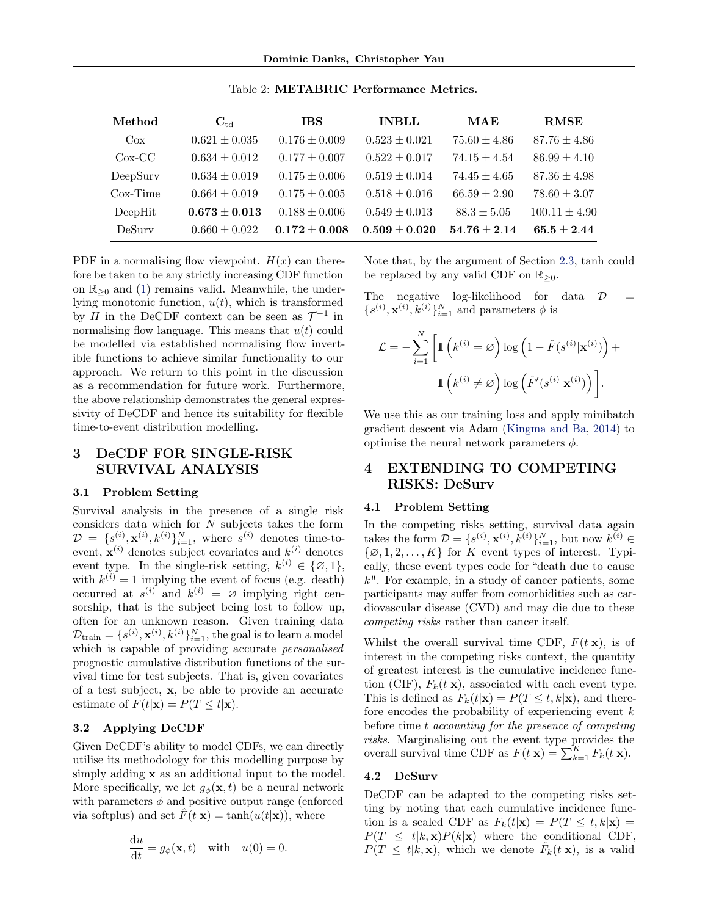<span id="page-4-0"></span>

| Method     | $C_{td}$          | <b>IBS</b>        | <b>INBLL</b>      | MAE              | <b>RMSE</b>       |
|------------|-------------------|-------------------|-------------------|------------------|-------------------|
| $\cos$     | $0.621 \pm 0.035$ | $0.176 \pm 0.009$ | $0.523 \pm 0.021$ | $75.60 \pm 4.86$ | $87.76 \pm 4.86$  |
| $Cox-CC$   | $0.634 \pm 0.012$ | $0.177 \pm 0.007$ | $0.522 \pm 0.017$ | $74.15 \pm 4.54$ | $86.99 \pm 4.10$  |
| DeepSurv   | $0.634 \pm 0.019$ | $0.175 \pm 0.006$ | $0.519 \pm 0.014$ | $74.45 \pm 4.65$ | $87.36 \pm 4.98$  |
| $Cox-Time$ | $0.664 \pm 0.019$ | $0.175 \pm 0.005$ | $0.518 \pm 0.016$ | $66.59 \pm 2.90$ | $78.60 \pm 3.07$  |
| DeepHit    | $0.673 \pm 0.013$ | $0.188 \pm 0.006$ | $0.549 \pm 0.013$ | $88.3 \pm 5.05$  | $100.11 \pm 4.90$ |
| DeSury     | $0.660 \pm 0.022$ | $0.172 \pm 0.008$ | $0.509 \pm 0.020$ | $54.76 \pm 2.14$ | $65.5 \pm 2.44$   |

Table 2: METABRIC Performance Metrics.

PDF in a normalising flow viewpoint.  $H(x)$  can therefore be taken to be any strictly increasing CDF function on  $\mathbb{R}_{\geq 0}$  and [\(1\)](#page-2-0) remains valid. Meanwhile, the underlying monotonic function,  $u(t)$ , which is transformed by H in the DeCDF context can be seen as  $\mathcal{T}^{-1}$  in normalising flow language. This means that  $u(t)$  could be modelled via established normalising flow invertible functions to achieve similar functionality to our approach. We return to this point in the discussion as a recommendation for future work. Furthermore, the above relationship demonstrates the general expressivity of DeCDF and hence its suitability for flexible time-to-event distribution modelling.

# 3 DeCDF FOR SINGLE-RISK SURVIVAL ANALYSIS

#### 3.1 Problem Setting

Survival analysis in the presence of a single risk considers data which for N subjects takes the form  $\mathcal{D} = \{s^{(i)}_0, \mathbf{x}^{(i)}, k^{(i)}\}_{i=1}^N$ , where  $s^{(i)}$  denotes time-toevent,  $\mathbf{x}^{(i)}$  denotes subject covariates and  $k^{(i)}$  denotes event type. In the single-risk setting,  $k^{(i)} \in \{\emptyset, 1\},\$ with  $k^{(i)} = 1$  implying the event of focus (e.g. death) occurred at  $s^{(i)}$  and  $k^{(i)} = \emptyset$  implying right censorship, that is the subject being lost to follow up, often for an unknown reason. Given training data  $\mathcal{D}_{\text{train}} = \{s^{(i)}, \mathbf{x}^{(i)}, k^{(i)}\}_{i=1}^N$ , the goal is to learn a model which is capable of providing accurate personalised prognostic cumulative distribution functions of the survival time for test subjects. That is, given covariates of a test subject, x, be able to provide an accurate estimate of  $F(t|\mathbf{x}) = P(T \leq t|\mathbf{x})$ .

### 3.2 Applying DeCDF

Given DeCDF's ability to model CDFs, we can directly utilise its methodology for this modelling purpose by simply adding **x** as an additional input to the model. More specifically, we let  $g_{\phi}(\mathbf{x}, t)$  be a neural network with parameters  $\phi$  and positive output range (enforced via softplus) and set  $\hat{F}(t|\mathbf{x}) = \tanh(u(t|\mathbf{x}))$ , where

$$
\frac{\mathrm{d}u}{\mathrm{d}t} = g_{\phi}(\mathbf{x}, t) \quad \text{with} \quad u(0) = 0.
$$

Note that, by the argument of Section [2.3,](#page-3-0) tanh could be replaced by any valid CDF on  $\mathbb{R}_{\geq 0}$ .

The negative log-likelihood for data  $\mathcal{D}$  =  ${s<sup>(i)</sup>, \mathbf{x}<sup>(i)</sup>, k<sup>(i)</sup>}_{i=1}^N$  and parameters  $\phi$  is

$$
\mathcal{L} = -\sum_{i=1}^{N} \left[ \mathbb{1} \left( k^{(i)} = \varnothing \right) \log \left( 1 - \hat{F}(s^{(i)} | \mathbf{x}^{(i)}) \right) + \mathbb{1} \left( k^{(i)} \neq \varnothing \right) \log \left( \hat{F}'(s^{(i)} | \mathbf{x}^{(i)}) \right) \right].
$$

We use this as our training loss and apply minibatch gradient descent via Adam [\(Kingma and Ba,](#page-9-0) [2014\)](#page-9-0) to optimise the neural network parameters  $\phi$ .

# 4 EXTENDING TO COMPETING RISKS: DeSurv

#### 4.1 Problem Setting

In the competing risks setting, survival data again takes the form  $D = \{s^{(i)}, \mathbf{x}^{(i)}, k^{(i)}\}_{i=1}^N$ , but now  $k^{(i)} \in$  $\{\emptyset, 1, 2, \ldots, K\}$  for K event types of interest. Typically, these event types code for "death due to cause  $k$ ". For example, in a study of cancer patients, some participants may suffer from comorbidities such as cardiovascular disease (CVD) and may die due to these competing risks rather than cancer itself.

Whilst the overall survival time CDF,  $F(t|\mathbf{x})$ , is of interest in the competing risks context, the quantity of greatest interest is the cumulative incidence function (CIF),  $F_k(t|\mathbf{x})$ , associated with each event type. This is defined as  $F_k(t|\mathbf{x}) = P(T \leq t, k|\mathbf{x})$ , and therefore encodes the probability of experiencing event  $k$ before time t accounting for the presence of competing risks. Marginalising out the event type provides the overall survival time CDF as  $F(t|\mathbf{x}) = \sum_{k=1}^{K} F_k(t|\mathbf{x})$ .

### 4.2 DeSurv

DeCDF can be adapted to the competing risks setting by noting that each cumulative incidence function is a scaled CDF as  $F_k(t|\mathbf{x}) = P(T \le t, k|\mathbf{x}) =$  $P(T \leq t | k, \mathbf{x}) P(k | \mathbf{x})$  where the conditional CDF,  $P(T \leq t | k, \mathbf{x})$ , which we denote  $\tilde{F}_k(t|\mathbf{x})$ , is a valid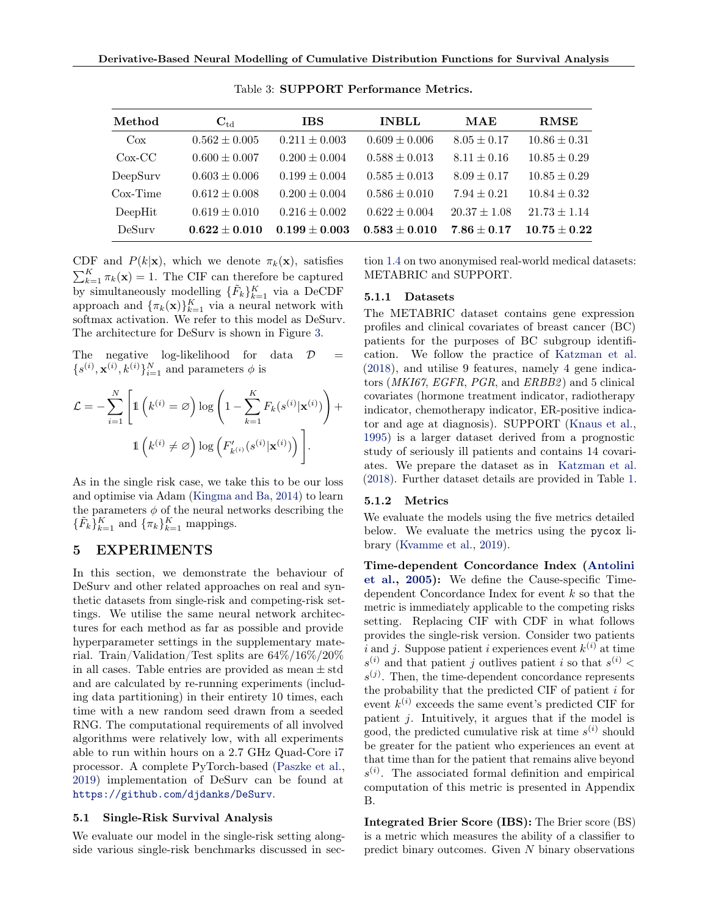<span id="page-5-0"></span>

| Method     | $C_{\rm td}$      | <b>IBS</b>        | <b>INBLL</b>      | MAE              | <b>RMSE</b>      |
|------------|-------------------|-------------------|-------------------|------------------|------------------|
| $\cos$     | $0.562 \pm 0.005$ | $0.211 \pm 0.003$ | $0.609 \pm 0.006$ | $8.05 \pm 0.17$  | $10.86 \pm 0.31$ |
| $Cox-CC$   | $0.600 \pm 0.007$ | $0.200 \pm 0.004$ | $0.588 \pm 0.013$ | $8.11 \pm 0.16$  | $10.85 \pm 0.29$ |
| DeepSurv   | $0.603 \pm 0.006$ | $0.199 \pm 0.004$ | $0.585 \pm 0.013$ | $8.09 \pm 0.17$  | $10.85 \pm 0.29$ |
| $Cox-Time$ | $0.612 \pm 0.008$ | $0.200 \pm 0.004$ | $0.586 \pm 0.010$ | $7.94 \pm 0.21$  | $10.84 \pm 0.32$ |
| DeepHit    | $0.619 \pm 0.010$ | $0.216 \pm 0.002$ | $0.622 \pm 0.004$ | $20.37 \pm 1.08$ | $21.73 \pm 1.14$ |
| DeSurv     | $0.622 \pm 0.010$ | $0.199 \pm 0.003$ | $0.583 \pm 0.010$ | $7.86 \pm 0.17$  | $10.75 \pm 0.22$ |

Table 3: SUPPORT Performance Metrics.

CDF and  $P(k|\mathbf{x})$ , which we denote  $\pi_k(\mathbf{x})$ , satisfies  $\sum_{k=1}^{K} \pi_k(\mathbf{x}) = 1$ . The CIF can therefore be captured by simultaneously modelling  $\{\tilde{F}_k\}_{k=1}^K$  via a DeCDF approach and  $\{\pi_k(\mathbf{x})\}_{k=1}^K$  via a neural network with softmax activation. We refer to this model as DeSurv. The architecture for DeSurv is shown in Figure [3.](#page-3-0)

The negative log-likelihood for data  $\mathcal{D}$  =  ${s<sup>(i)</sup>, \mathbf{x}<sup>(i)</sup>, k<sup>(i)</sup>}_{i=1}^N$  and parameters  $\phi$  is

$$
\mathcal{L} = -\sum_{i=1}^{N} \left[ 1 \left( k^{(i)} = \varnothing \right) \log \left( 1 - \sum_{k=1}^{K} F_k(s^{(i)} | \mathbf{x}^{(i)}) \right) + 1 \left( k^{(i)} \neq \varnothing \right) \log \left( F'_{k^{(i)}}(s^{(i)} | \mathbf{x}^{(i)}) \right) \right].
$$

As in the single risk case, we take this to be our loss and optimise via Adam [\(Kingma and Ba,](#page-9-0) [2014\)](#page-9-0) to learn the parameters  $\phi$  of the neural networks describing the  $\{\tilde{F}_k\}_{k=1}^K$  and  $\{\pi_k\}_{k=1}^K$  mappings.

# 5 EXPERIMENTS

In this section, we demonstrate the behaviour of DeSurv and other related approaches on real and synthetic datasets from single-risk and competing-risk settings. We utilise the same neural network architectures for each method as far as possible and provide hyperparameter settings in the supplementary material. Train/Validation/Test splits are 64%/16%/20% in all cases. Table entries are provided as mean  $\pm$  std and are calculated by re-running experiments (including data partitioning) in their entirety 10 times, each time with a new random seed drawn from a seeded RNG. The computational requirements of all involved algorithms were relatively low, with all experiments able to run within hours on a 2.7 GHz Quad-Core i7 processor. A complete PyTorch-based [\(Paszke et al.,](#page-10-0) [2019\)](#page-10-0) implementation of DeSurv can be found at <https://github.com/djdanks/DeSurv>.

#### 5.1 Single-Risk Survival Analysis

We evaluate our model in the single-risk setting alongside various single-risk benchmarks discussed in sec-

tion [1.4](#page-1-0) on two anonymised real-world medical datasets: METABRIC and SUPPORT.

#### 5.1.1 Datasets

The METABRIC dataset contains gene expression profiles and clinical covariates of breast cancer (BC) patients for the purposes of BC subgroup identification. We follow the practice of [Katzman et al.](#page-9-0) [\(2018\)](#page-9-0), and utilise 9 features, namely 4 gene indicators (MKI67, EGFR, PGR, and ERBB2) and 5 clinical covariates (hormone treatment indicator, radiotherapy indicator, chemotherapy indicator, ER-positive indicator and age at diagnosis). SUPPORT [\(Knaus et al.,](#page-9-0) [1995\)](#page-9-0) is a larger dataset derived from a prognostic study of seriously ill patients and contains 14 covariates. We prepare the dataset as in [Katzman et al.](#page-9-0) [\(2018\)](#page-9-0). Further dataset details are provided in Table [1.](#page-3-0)

#### 5.1.2 Metrics

We evaluate the models using the five metrics detailed below. We evaluate the metrics using the pycox library [\(Kvamme et al.,](#page-9-0) [2019\)](#page-9-0).

Time-dependent Concordance Index [\(Antolini](#page-8-0) [et al.,](#page-8-0) [2005\)](#page-8-0): We define the Cause-specific Timedependent Concordance Index for event k so that the metric is immediately applicable to the competing risks setting. Replacing CIF with CDF in what follows provides the single-risk version. Consider two patients i and j. Suppose patient i experiences event  $k^{(i)}$  at time  $s^{(i)}$  and that patient j outlives patient i so that  $s^{(i)}$  <  $s^{(j)}$ . Then, the time-dependent concordance represents the probability that the predicted CIF of patient  $i$  for event  $k^{(i)}$  exceeds the same event's predicted CIF for patient j. Intuitively, it argues that if the model is good, the predicted cumulative risk at time  $s^{(i)}$  should be greater for the patient who experiences an event at that time than for the patient that remains alive beyond  $s^{(i)}$ . The associated formal definition and empirical computation of this metric is presented in Appendix B.

Integrated Brier Score (IBS): The Brier score (BS) is a metric which measures the ability of a classifier to predict binary outcomes. Given  $N$  binary observations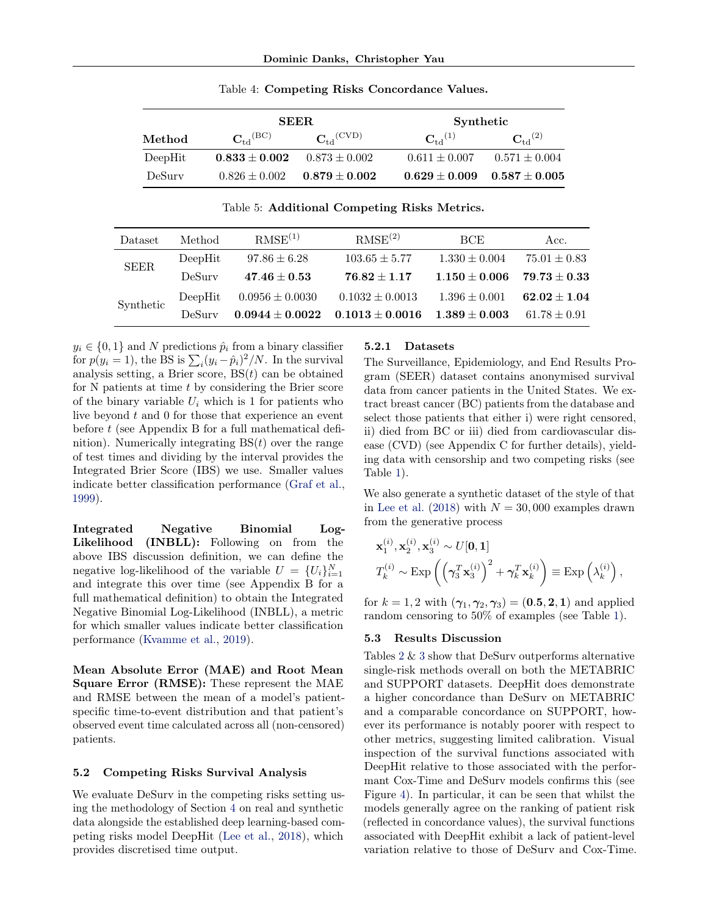<span id="page-6-0"></span>

|         |                      | <b>SEER</b>              |                            | Synthetic                           |  |  |
|---------|----------------------|--------------------------|----------------------------|-------------------------------------|--|--|
| Method  | $C_{\rm td}(\rm BC)$ | $C_{\rm td}^{\rm (CVD)}$ | ${\bf C}_{\rm td}{}^{(1)}$ | $C_{\rm td}^{(2)}$                  |  |  |
| DeepHit | $0.833 \pm 0.002$    | $0.873 \pm 0.002$        | $0.611 \pm 0.007$          | $0.571 \pm 0.004$                   |  |  |
| DeSury  | $0.826 \pm 0.002$    | $0.879 \pm 0.002$        |                            | $0.629 \pm 0.009$ $0.587 \pm 0.005$ |  |  |

Table 4: Competing Risks Concordance Values.

Table 5: Additional Competing Risks Metrics.

| Dataset     | Method  | RMSE <sup>(1)</sup> | RMSE <sup>(2)</sup> | <b>BCE</b>        | Acc.             |
|-------------|---------|---------------------|---------------------|-------------------|------------------|
| <b>SEER</b> | DeepHit | $97.86 \pm 6.28$    | $103.65 \pm 5.77$   | $1.330 \pm 0.004$ | $75.01 \pm 0.83$ |
|             | DeSurv  | $47.46 \pm 0.53$    | $76.82 \pm 1.17$    | $1.150 \pm 0.006$ | $79.73 \pm 0.33$ |
| Synthetic   | DeepHit | $0.0956 \pm 0.0030$ | $0.1032 \pm 0.0013$ | $1.396 \pm 0.001$ | $62.02 \pm 1.04$ |
|             | DeSurv  | $0.0944 \pm 0.0022$ | $0.1013 \pm 0.0016$ | $1.389 \pm 0.003$ | $61.78 \pm 0.91$ |

 $y_i \in \{0, 1\}$  and N predictions  $\hat{p}_i$  from a binary classifier for  $p(y_i = 1)$ , the BS is  $\sum_i (y_i - \hat{p}_i)^2 / N$ . In the survival analysis setting, a Brier score,  $BS(t)$  can be obtained for  $N$  patients at time  $t$  by considering the Brier score of the binary variable  $U_i$  which is 1 for patients who live beyond  $t$  and  $0$  for those that experience an event before t (see Appendix B for a full mathematical definition). Numerically integrating  $BS(t)$  over the range of test times and dividing by the interval provides the Integrated Brier Score (IBS) we use. Smaller values indicate better classification performance [\(Graf et al.,](#page-9-0) [1999\)](#page-9-0).

Integrated Negative Binomial Log-Likelihood (INBLL): Following on from the above IBS discussion definition, we can define the negative log-likelihood of the variable  $U = \{U_i\}_{i=1}^N$ and integrate this over time (see Appendix B for a full mathematical definition) to obtain the Integrated Negative Binomial Log-Likelihood (INBLL), a metric for which smaller values indicate better classification performance [\(Kvamme et al.,](#page-9-0) [2019\)](#page-9-0).

Mean Absolute Error (MAE) and Root Mean Square Error (RMSE): These represent the MAE and RMSE between the mean of a model's patientspecific time-to-event distribution and that patient's observed event time calculated across all (non-censored) patients.

#### 5.2 Competing Risks Survival Analysis

We evaluate DeSurv in the competing risks setting using the methodology of Section [4](#page-4-0) on real and synthetic data alongside the established deep learning-based competing risks model DeepHit [\(Lee et al.,](#page-10-0) [2018\)](#page-10-0), which provides discretised time output.

#### 5.2.1 Datasets

The Surveillance, Epidemiology, and End Results Program (SEER) dataset contains anonymised survival data from cancer patients in the United States. We extract breast cancer (BC) patients from the database and select those patients that either i) were right censored, ii) died from BC or iii) died from cardiovascular disease (CVD) (see Appendix C for further details), yielding data with censorship and two competing risks (see Table [1\)](#page-3-0).

We also generate a synthetic dataset of the style of that in [Lee et al.](#page-10-0) [\(2018\)](#page-10-0) with  $N = 30,000$  examples drawn from the generative process

$$
\mathbf{x}_{1}^{(i)}, \mathbf{x}_{2}^{(i)}, \mathbf{x}_{3}^{(i)} \sim U[\mathbf{0}, \mathbf{1}]
$$
  

$$
T_{k}^{(i)} \sim \text{Exp}\left(\left(\gamma_{3}^{T} \mathbf{x}_{3}^{(i)}\right)^{2} + \gamma_{k}^{T} \mathbf{x}_{k}^{(i)}\right) \equiv \text{Exp}\left(\lambda_{k}^{(i)}\right),
$$

for  $k = 1, 2$  with  $(\gamma_1, \gamma_2, \gamma_3) = (0.5, 2, 1)$  and applied random censoring to 50% of examples (see Table [1\)](#page-3-0).

#### 5.3 Results Discussion

Tables [2](#page-4-0) & [3](#page-5-0) show that DeSurv outperforms alternative single-risk methods overall on both the METABRIC and SUPPORT datasets. DeepHit does demonstrate a higher concordance than DeSurv on METABRIC and a comparable concordance on SUPPORT, however its performance is notably poorer with respect to other metrics, suggesting limited calibration. Visual inspection of the survival functions associated with DeepHit relative to those associated with the performant Cox-Time and DeSurv models confirms this (see Figure [4\)](#page-7-0). In particular, it can be seen that whilst the models generally agree on the ranking of patient risk (reflected in concordance values), the survival functions associated with DeepHit exhibit a lack of patient-level variation relative to those of DeSurv and Cox-Time.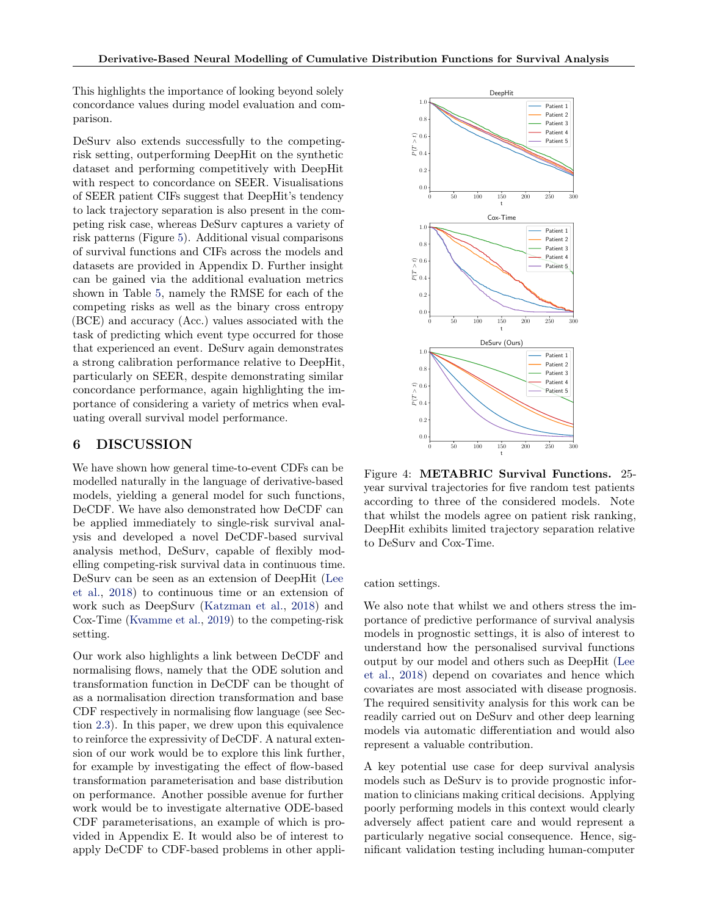<span id="page-7-0"></span>This highlights the importance of looking beyond solely concordance values during model evaluation and comparison.

DeSurv also extends successfully to the competingrisk setting, outperforming DeepHit on the synthetic dataset and performing competitively with DeepHit with respect to concordance on SEER. Visualisations of SEER patient CIFs suggest that DeepHit's tendency to lack trajectory separation is also present in the competing risk case, whereas DeSurv captures a variety of risk patterns (Figure [5\)](#page-8-0). Additional visual comparisons of survival functions and CIFs across the models and datasets are provided in Appendix D. Further insight can be gained via the additional evaluation metrics shown in Table [5,](#page-6-0) namely the RMSE for each of the competing risks as well as the binary cross entropy (BCE) and accuracy (Acc.) values associated with the task of predicting which event type occurred for those that experienced an event. DeSurv again demonstrates a strong calibration performance relative to DeepHit, particularly on SEER, despite demonstrating similar concordance performance, again highlighting the importance of considering a variety of metrics when evaluating overall survival model performance.

# 6 DISCUSSION

We have shown how general time-to-event CDFs can be modelled naturally in the language of derivative-based models, yielding a general model for such functions, DeCDF. We have also demonstrated how DeCDF can be applied immediately to single-risk survival analysis and developed a novel DeCDF-based survival analysis method, DeSurv, capable of flexibly modelling competing-risk survival data in continuous time. DeSurv can be seen as an extension of DeepHit [\(Lee](#page-10-0) [et al.,](#page-10-0) [2018\)](#page-10-0) to continuous time or an extension of work such as DeepSurv [\(Katzman et al.,](#page-9-0) [2018\)](#page-9-0) and Cox-Time [\(Kvamme et al.,](#page-9-0) [2019\)](#page-9-0) to the competing-risk setting.

Our work also highlights a link between DeCDF and normalising flows, namely that the ODE solution and transformation function in DeCDF can be thought of as a normalisation direction transformation and base CDF respectively in normalising flow language (see Section [2.3\)](#page-3-0). In this paper, we drew upon this equivalence to reinforce the expressivity of DeCDF. A natural extension of our work would be to explore this link further, for example by investigating the effect of flow-based transformation parameterisation and base distribution on performance. Another possible avenue for further work would be to investigate alternative ODE-based CDF parameterisations, an example of which is provided in Appendix E. It would also be of interest to apply DeCDF to CDF-based problems in other appli-



Figure 4: METABRIC Survival Functions. 25 year survival trajectories for five random test patients according to three of the considered models. Note that whilst the models agree on patient risk ranking, DeepHit exhibits limited trajectory separation relative to DeSurv and Cox-Time.

#### cation settings.

We also note that whilst we and others stress the importance of predictive performance of survival analysis models in prognostic settings, it is also of interest to understand how the personalised survival functions output by our model and others such as DeepHit [\(Lee](#page-10-0) [et al.,](#page-10-0) [2018\)](#page-10-0) depend on covariates and hence which covariates are most associated with disease prognosis. The required sensitivity analysis for this work can be readily carried out on DeSurv and other deep learning models via automatic differentiation and would also represent a valuable contribution.

A key potential use case for deep survival analysis models such as DeSurv is to provide prognostic information to clinicians making critical decisions. Applying poorly performing models in this context would clearly adversely affect patient care and would represent a particularly negative social consequence. Hence, significant validation testing including human-computer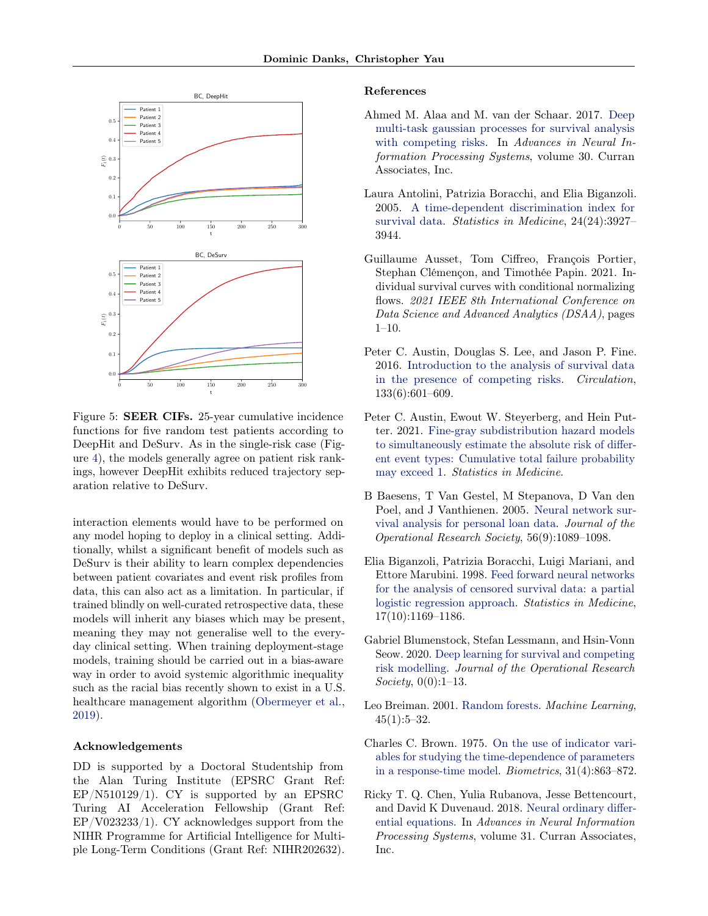<span id="page-8-0"></span>

Figure 5: SEER CIFs. 25-year cumulative incidence functions for five random test patients according to DeepHit and DeSurv. As in the single-risk case (Figure [4\)](#page-7-0), the models generally agree on patient risk rankings, however DeepHit exhibits reduced trajectory separation relative to DeSurv.

interaction elements would have to be performed on any model hoping to deploy in a clinical setting. Additionally, whilst a significant benefit of models such as DeSurv is their ability to learn complex dependencies between patient covariates and event risk profiles from data, this can also act as a limitation. In particular, if trained blindly on well-curated retrospective data, these models will inherit any biases which may be present, meaning they may not generalise well to the everyday clinical setting. When training deployment-stage models, training should be carried out in a bias-aware way in order to avoid systemic algorithmic inequality such as the racial bias recently shown to exist in a U.S. healthcare management algorithm [\(Obermeyer et al.,](#page-10-0) [2019\)](#page-10-0).

#### Acknowledgements

DD is supported by a Doctoral Studentship from the Alan Turing Institute (EPSRC Grant Ref: EP/N510129/1). CY is supported by an EPSRC Turing AI Acceleration Fellowship (Grant Ref: EP/V023233/1). CY acknowledges support from the NIHR Programme for Artificial Intelligence for Multiple Long-Term Conditions (Grant Ref: NIHR202632).

#### References

- Ahmed M. Alaa and M. van der Schaar. 2017. [Deep](https://proceedings.neurips.cc/paper/2017/file/861dc9bd7f4e7dd3cccd534d0ae2a2e9-Paper.pdf) [multi-task gaussian processes for survival analysis](https://proceedings.neurips.cc/paper/2017/file/861dc9bd7f4e7dd3cccd534d0ae2a2e9-Paper.pdf) [with competing risks.](https://proceedings.neurips.cc/paper/2017/file/861dc9bd7f4e7dd3cccd534d0ae2a2e9-Paper.pdf) In Advances in Neural Information Processing Systems, volume 30. Curran Associates, Inc.
- Laura Antolini, Patrizia Boracchi, and Elia Biganzoli. 2005. [A time-dependent discrimination index for](https://doi.org/https://doi.org/10.1002/sim.2427) [survival data.](https://doi.org/https://doi.org/10.1002/sim.2427) Statistics in Medicine, 24(24):3927– 3944.
- Guillaume Ausset, Tom Ciffreo, François Portier, Stephan Clémençon, and Timothée Papin. 2021. Individual survival curves with conditional normalizing flows. 2021 IEEE 8th International Conference on Data Science and Advanced Analytics (DSAA), pages 1–10.
- Peter C. Austin, Douglas S. Lee, and Jason P. Fine. 2016. [Introduction to the analysis of survival data](https://doi.org/10.1161/CIRCULATIONAHA.115.017719) [in the presence of competing risks.](https://doi.org/10.1161/CIRCULATIONAHA.115.017719) Circulation, 133(6):601–609.
- Peter C. Austin, Ewout W. Steyerberg, and Hein Putter. 2021. [Fine-gray subdistribution hazard models](https://doi.org/https://doi.org/10.1002/sim.9023) [to simultaneously estimate the absolute risk of differ](https://doi.org/https://doi.org/10.1002/sim.9023)[ent event types: Cumulative total failure probability](https://doi.org/https://doi.org/10.1002/sim.9023) [may exceed 1.](https://doi.org/https://doi.org/10.1002/sim.9023) Statistics in Medicine.
- B Baesens, T Van Gestel, M Stepanova, D Van den Poel, and J Vanthienen. 2005. [Neural network sur](https://doi.org/10.1057/palgrave.jors.2601990)[vival analysis for personal loan data.](https://doi.org/10.1057/palgrave.jors.2601990) Journal of the Operational Research Society, 56(9):1089–1098.
- Elia Biganzoli, Patrizia Boracchi, Luigi Mariani, and Ettore Marubini. 1998. [Feed forward neural networks](https://doi.org/https://doi.org/10.1002/(SICI)1097-0258(19980530)17:10<1169::AID-SIM796>3.0.CO;2-D) [for the analysis of censored survival data: a partial](https://doi.org/https://doi.org/10.1002/(SICI)1097-0258(19980530)17:10<1169::AID-SIM796>3.0.CO;2-D) [logistic regression approach.](https://doi.org/https://doi.org/10.1002/(SICI)1097-0258(19980530)17:10<1169::AID-SIM796>3.0.CO;2-D) Statistics in Medicine, 17(10):1169–1186.
- Gabriel Blumenstock, Stefan Lessmann, and Hsin-Vonn Seow. 2020. [Deep learning for survival and competing](https://doi.org/10.1080/01605682.2020.1838960) [risk modelling.](https://doi.org/10.1080/01605682.2020.1838960) Journal of the Operational Research Society, 0(0):1-13.
- Leo Breiman. 2001. [Random forests.](https://doi.org/10.1023/A:1010933404324) Machine Learning,  $45(1):5-32.$
- Charles C. Brown. 1975. [On the use of indicator vari](http://www.jstor.org/stable/2529811)[ables for studying the time-dependence of parameters](http://www.jstor.org/stable/2529811) [in a response-time model.](http://www.jstor.org/stable/2529811) Biometrics, 31(4):863–872.
- Ricky T. Q. Chen, Yulia Rubanova, Jesse Bettencourt, and David K Duvenaud. 2018. [Neural ordinary differ](https://proceedings.neurips.cc/paper/2018/file/69386f6bb1dfed68692a24c8686939b9-Paper.pdf)[ential equations.](https://proceedings.neurips.cc/paper/2018/file/69386f6bb1dfed68692a24c8686939b9-Paper.pdf) In Advances in Neural Information Processing Systems, volume 31. Curran Associates, Inc.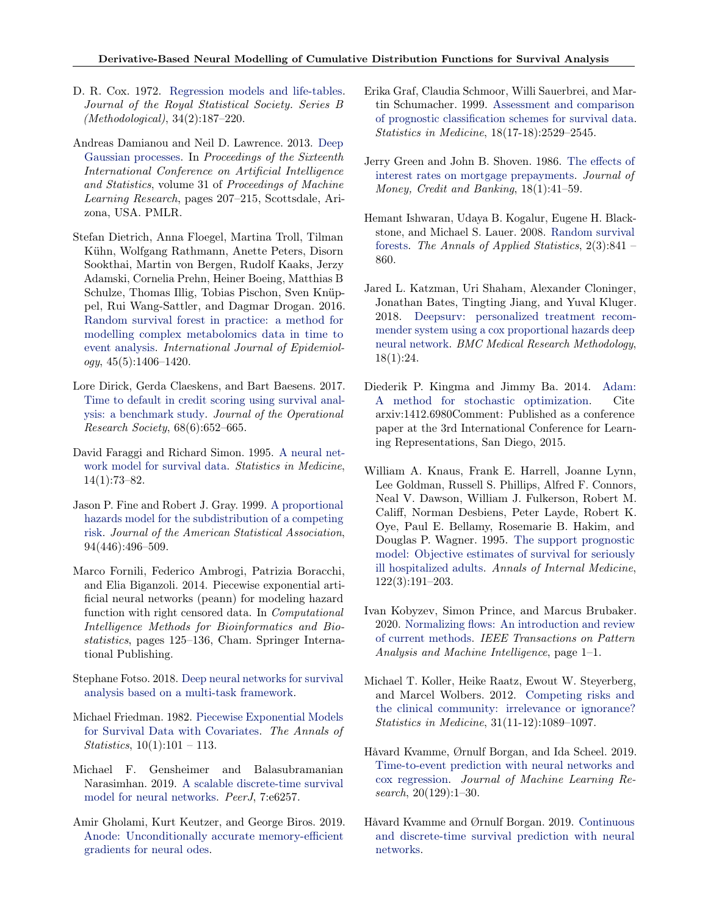- <span id="page-9-0"></span>D. R. Cox. 1972. [Regression models and life-tables.](http://www.jstor.org/stable/2985181) Journal of the Royal Statistical Society. Series B (Methodological), 34(2):187–220.
- Andreas Damianou and Neil D. Lawrence. 2013. [Deep](http://proceedings.mlr.press/v31/damianou13a.html) [Gaussian processes.](http://proceedings.mlr.press/v31/damianou13a.html) In Proceedings of the Sixteenth International Conference on Artificial Intelligence and Statistics, volume 31 of Proceedings of Machine Learning Research, pages 207–215, Scottsdale, Arizona, USA. PMLR.
- Stefan Dietrich, Anna Floegel, Martina Troll, Tilman Kühn, Wolfgang Rathmann, Anette Peters, Disorn Sookthai, Martin von Bergen, Rudolf Kaaks, Jerzy Adamski, Cornelia Prehn, Heiner Boeing, Matthias B Schulze, Thomas Illig, Tobias Pischon, Sven Knüppel, Rui Wang-Sattler, and Dagmar Drogan. 2016. [Random survival forest in practice: a method for](https://doi.org/10.1093/ije/dyw145) [modelling complex metabolomics data in time to](https://doi.org/10.1093/ije/dyw145) [event analysis.](https://doi.org/10.1093/ije/dyw145) International Journal of Epidemiology, 45(5):1406–1420.
- Lore Dirick, Gerda Claeskens, and Bart Baesens. 2017. [Time to default in credit scoring using survival anal](https://doi.org/10.1057/s41274-016-0128-9)[ysis: a benchmark study.](https://doi.org/10.1057/s41274-016-0128-9) Journal of the Operational Research Society, 68(6):652–665.
- David Faraggi and Richard Simon. 1995. [A neural net](https://doi.org/https://doi.org/10.1002/sim.4780140108)[work model for survival data.](https://doi.org/https://doi.org/10.1002/sim.4780140108) Statistics in Medicine, 14(1):73–82.
- Jason P. Fine and Robert J. Gray. 1999. [A proportional](http://www.jstor.org/stable/2670170) [hazards model for the subdistribution of a competing](http://www.jstor.org/stable/2670170) [risk.](http://www.jstor.org/stable/2670170) Journal of the American Statistical Association, 94(446):496–509.
- Marco Fornili, Federico Ambrogi, Patrizia Boracchi, and Elia Biganzoli. 2014. Piecewise exponential artificial neural networks (peann) for modeling hazard function with right censored data. In Computational Intelligence Methods for Bioinformatics and Biostatistics, pages 125–136, Cham. Springer International Publishing.
- Stephane Fotso. 2018. [Deep neural networks for survival](http://arxiv.org/abs/1801.05512) [analysis based on a multi-task framework.](http://arxiv.org/abs/1801.05512)
- Michael Friedman. 1982. [Piecewise Exponential Models](https://doi.org/10.1214/aos/1176345693) [for Survival Data with Covariates.](https://doi.org/10.1214/aos/1176345693) The Annals of *Statistics*,  $10(1):101 - 113$ .
- Michael F. Gensheimer and Balasubramanian Narasimhan. 2019. [A scalable discrete-time survival](https://doi.org/10.7717/peerj.6257) [model for neural networks.](https://doi.org/10.7717/peerj.6257) PeerJ, 7:e6257.
- Amir Gholami, Kurt Keutzer, and George Biros. 2019. [Anode: Unconditionally accurate memory-efficient](http://arxiv.org/abs/1902.10298) [gradients for neural odes.](http://arxiv.org/abs/1902.10298)
- Erika Graf, Claudia Schmoor, Willi Sauerbrei, and Martin Schumacher. 1999. [Assessment and comparison](https://doi.org/https://doi.org/10.1002/(SICI)1097-0258(19990915/30)18:17/18<2529::AID-SIM274>3.0.CO;2-5) [of prognostic classification schemes for survival data.](https://doi.org/https://doi.org/10.1002/(SICI)1097-0258(19990915/30)18:17/18<2529::AID-SIM274>3.0.CO;2-5) Statistics in Medicine, 18(17-18):2529–2545.
- Jerry Green and John B. Shoven. 1986. [The effects of](http://www.jstor.org/stable/1992319) [interest rates on mortgage prepayments.](http://www.jstor.org/stable/1992319) Journal of Money, Credit and Banking, 18(1):41–59.
- Hemant Ishwaran, Udaya B. Kogalur, Eugene H. Blackstone, and Michael S. Lauer. 2008. [Random survival](https://doi.org/10.1214/08-AOAS169) [forests.](https://doi.org/10.1214/08-AOAS169) The Annals of Applied Statistics, 2(3):841 – 860.
- Jared L. Katzman, Uri Shaham, Alexander Cloninger, Jonathan Bates, Tingting Jiang, and Yuval Kluger. 2018. [Deepsurv: personalized treatment recom](https://doi.org/10.1186/s12874-018-0482-1)[mender system using a cox proportional hazards deep](https://doi.org/10.1186/s12874-018-0482-1) [neural network.](https://doi.org/10.1186/s12874-018-0482-1) BMC Medical Research Methodology, 18(1):24.
- Diederik P. Kingma and Jimmy Ba. 2014. [Adam:](http://arxiv.org/abs/1412.6980) [A method for stochastic optimization.](http://arxiv.org/abs/1412.6980) Cite arxiv:1412.6980Comment: Published as a conference paper at the 3rd International Conference for Learning Representations, San Diego, 2015.
- William A. Knaus, Frank E. Harrell, Joanne Lynn, Lee Goldman, Russell S. Phillips, Alfred F. Connors, Neal V. Dawson, William J. Fulkerson, Robert M. Califf, Norman Desbiens, Peter Layde, Robert K. Oye, Paul E. Bellamy, Rosemarie B. Hakim, and Douglas P. Wagner. 1995. [The support prognostic](https://doi.org/10.7326/0003-4819-122-3-199502010-00007) [model: Objective estimates of survival for seriously](https://doi.org/10.7326/0003-4819-122-3-199502010-00007) [ill hospitalized adults.](https://doi.org/10.7326/0003-4819-122-3-199502010-00007) Annals of Internal Medicine, 122(3):191–203.
- Ivan Kobyzev, Simon Prince, and Marcus Brubaker. 2020. [Normalizing flows: An introduction and review](https://doi.org/10.1109/tpami.2020.2992934) [of current methods.](https://doi.org/10.1109/tpami.2020.2992934) IEEE Transactions on Pattern Analysis and Machine Intelligence, page 1–1.
- Michael T. Koller, Heike Raatz, Ewout W. Steyerberg, and Marcel Wolbers. 2012. [Competing risks and](https://doi.org/https://doi.org/10.1002/sim.4384) [the clinical community: irrelevance or ignorance?](https://doi.org/https://doi.org/10.1002/sim.4384) Statistics in Medicine, 31(11-12):1089–1097.
- Håvard Kvamme, Ørnulf Borgan, and Ida Scheel. 2019. [Time-to-event prediction with neural networks and](http://jmlr.org/papers/v20/18-424.html) [cox regression.](http://jmlr.org/papers/v20/18-424.html) Journal of Machine Learning Research, 20(129):1–30.
- Håvard Kvamme and Ørnulf Borgan. 2019. [Continuous](http://arxiv.org/abs/1910.06724) [and discrete-time survival prediction with neural](http://arxiv.org/abs/1910.06724) [networks.](http://arxiv.org/abs/1910.06724)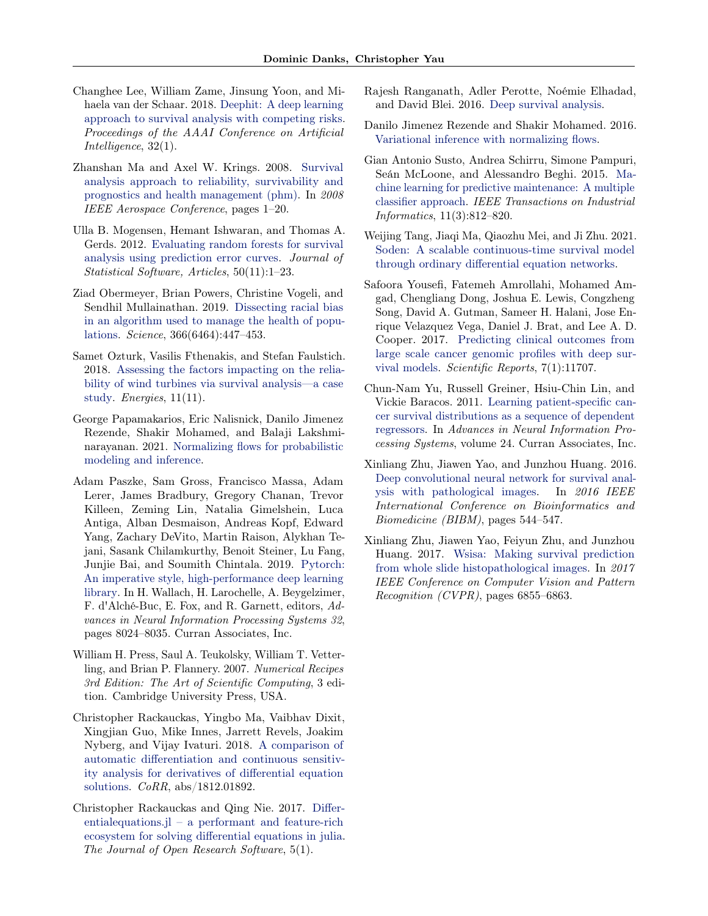- <span id="page-10-0"></span>Changhee Lee, William Zame, Jinsung Yoon, and Mihaela van der Schaar. 2018. [Deephit: A deep learning](https://ojs.aaai.org/index.php/AAAI/article/view/11842) [approach to survival analysis with competing risks.](https://ojs.aaai.org/index.php/AAAI/article/view/11842) Proceedings of the AAAI Conference on Artificial Intelligence, 32(1).
- Zhanshan Ma and Axel W. Krings. 2008. [Survival](https://doi.org/10.1109/AERO.2008.4526634) [analysis approach to reliability, survivability and](https://doi.org/10.1109/AERO.2008.4526634) [prognostics and health management \(phm\).](https://doi.org/10.1109/AERO.2008.4526634) In 2008 IEEE Aerospace Conference, pages 1–20.
- Ulla B. Mogensen, Hemant Ishwaran, and Thomas A. Gerds. 2012. [Evaluating random forests for survival](https://doi.org/10.18637/jss.v050.i11) [analysis using prediction error curves.](https://doi.org/10.18637/jss.v050.i11) Journal of Statistical Software, Articles, 50(11):1–23.
- Ziad Obermeyer, Brian Powers, Christine Vogeli, and Sendhil Mullainathan. 2019. [Dissecting racial bias](https://doi.org/10.1126/science.aax2342) [in an algorithm used to manage the health of popu](https://doi.org/10.1126/science.aax2342)[lations.](https://doi.org/10.1126/science.aax2342) Science, 366(6464):447–453.
- Samet Ozturk, Vasilis Fthenakis, and Stefan Faulstich. 2018. [Assessing the factors impacting on the relia](https://doi.org/10.3390/en11113034)[bility of wind turbines via survival analysis—a case](https://doi.org/10.3390/en11113034) [study.](https://doi.org/10.3390/en11113034) *Energies*, 11(11).
- George Papamakarios, Eric Nalisnick, Danilo Jimenez Rezende, Shakir Mohamed, and Balaji Lakshminarayanan. 2021. [Normalizing flows for probabilistic](http://arxiv.org/abs/1912.02762) [modeling and inference.](http://arxiv.org/abs/1912.02762)
- Adam Paszke, Sam Gross, Francisco Massa, Adam Lerer, James Bradbury, Gregory Chanan, Trevor Killeen, Zeming Lin, Natalia Gimelshein, Luca Antiga, Alban Desmaison, Andreas Kopf, Edward Yang, Zachary DeVito, Martin Raison, Alykhan Tejani, Sasank Chilamkurthy, Benoit Steiner, Lu Fang, Junjie Bai, and Soumith Chintala. 2019. [Pytorch:](http://papers.neurips.cc/paper/9015-pytorch-an-imperative-style-high-performance-deep-learning-library.pdf) [An imperative style, high-performance deep learning](http://papers.neurips.cc/paper/9015-pytorch-an-imperative-style-high-performance-deep-learning-library.pdf) [library.](http://papers.neurips.cc/paper/9015-pytorch-an-imperative-style-high-performance-deep-learning-library.pdf) In H. Wallach, H. Larochelle, A. Beygelzimer, F. d'Alché-Buc, E. Fox, and R. Garnett, editors, Advances in Neural Information Processing Systems 32, pages 8024–8035. Curran Associates, Inc.
- William H. Press, Saul A. Teukolsky, William T. Vetterling, and Brian P. Flannery. 2007. Numerical Recipes 3rd Edition: The Art of Scientific Computing, 3 edition. Cambridge University Press, USA.
- Christopher Rackauckas, Yingbo Ma, Vaibhav Dixit, Xingjian Guo, Mike Innes, Jarrett Revels, Joakim Nyberg, and Vijay Ivaturi. 2018. [A comparison of](http://arxiv.org/abs/1812.01892) [automatic differentiation and continuous sensitiv](http://arxiv.org/abs/1812.01892)[ity analysis for derivatives of differential equation](http://arxiv.org/abs/1812.01892) [solutions.](http://arxiv.org/abs/1812.01892) CoRR, abs/1812.01892.
- Christopher Rackauckas and Qing Nie. 2017. [Differ](https://doi.org/10.5334/jors.151)[entialequations.jl – a performant and feature-rich](https://doi.org/10.5334/jors.151) [ecosystem for solving differential equations in julia.](https://doi.org/10.5334/jors.151) The Journal of Open Research Software, 5(1).
- Rajesh Ranganath, Adler Perotte, Noémie Elhadad, and David Blei. 2016. [Deep survival analysis.](http://arxiv.org/abs/1608.02158)
- Danilo Jimenez Rezende and Shakir Mohamed. 2016. [Variational inference with normalizing flows.](http://arxiv.org/abs/1505.05770)
- Gian Antonio Susto, Andrea Schirru, Simone Pampuri, Seán McLoone, and Alessandro Beghi. 2015. [Ma](https://doi.org/10.1109/TII.2014.2349359)[chine learning for predictive maintenance: A multiple](https://doi.org/10.1109/TII.2014.2349359) [classifier approach.](https://doi.org/10.1109/TII.2014.2349359) IEEE Transactions on Industrial Informatics, 11(3):812–820.
- Weijing Tang, Jiaqi Ma, Qiaozhu Mei, and Ji Zhu. 2021. [Soden: A scalable continuous-time survival model](http://arxiv.org/abs/2008.08637) [through ordinary differential equation networks.](http://arxiv.org/abs/2008.08637)
- Safoora Yousefi, Fatemeh Amrollahi, Mohamed Amgad, Chengliang Dong, Joshua E. Lewis, Congzheng Song, David A. Gutman, Sameer H. Halani, Jose Enrique Velazquez Vega, Daniel J. Brat, and Lee A. D. Cooper. 2017. [Predicting clinical outcomes from](https://doi.org/10.1038/s41598-017-11817-6) [large scale cancer genomic profiles with deep sur](https://doi.org/10.1038/s41598-017-11817-6)[vival models.](https://doi.org/10.1038/s41598-017-11817-6) Scientific Reports, 7(1):11707.
- Chun-Nam Yu, Russell Greiner, Hsiu-Chin Lin, and Vickie Baracos. 2011. [Learning patient-specific can](https://proceedings.neurips.cc/paper/2011/file/1019c8091693ef5c5f55970346633f92-Paper.pdf)[cer survival distributions as a sequence of dependent](https://proceedings.neurips.cc/paper/2011/file/1019c8091693ef5c5f55970346633f92-Paper.pdf) [regressors.](https://proceedings.neurips.cc/paper/2011/file/1019c8091693ef5c5f55970346633f92-Paper.pdf) In Advances in Neural Information Processing Systems, volume 24. Curran Associates, Inc.
- Xinliang Zhu, Jiawen Yao, and Junzhou Huang. 2016. [Deep convolutional neural network for survival anal](https://doi.org/10.1109/BIBM.2016.7822579)[ysis with pathological images.](https://doi.org/10.1109/BIBM.2016.7822579) In 2016 IEEE International Conference on Bioinformatics and Biomedicine (BIBM), pages 544–547.
- Xinliang Zhu, Jiawen Yao, Feiyun Zhu, and Junzhou Huang. 2017. [Wsisa: Making survival prediction](https://doi.org/10.1109/CVPR.2017.725) [from whole slide histopathological images.](https://doi.org/10.1109/CVPR.2017.725) In 2017 IEEE Conference on Computer Vision and Pattern Recognition (CVPR), pages 6855–6863.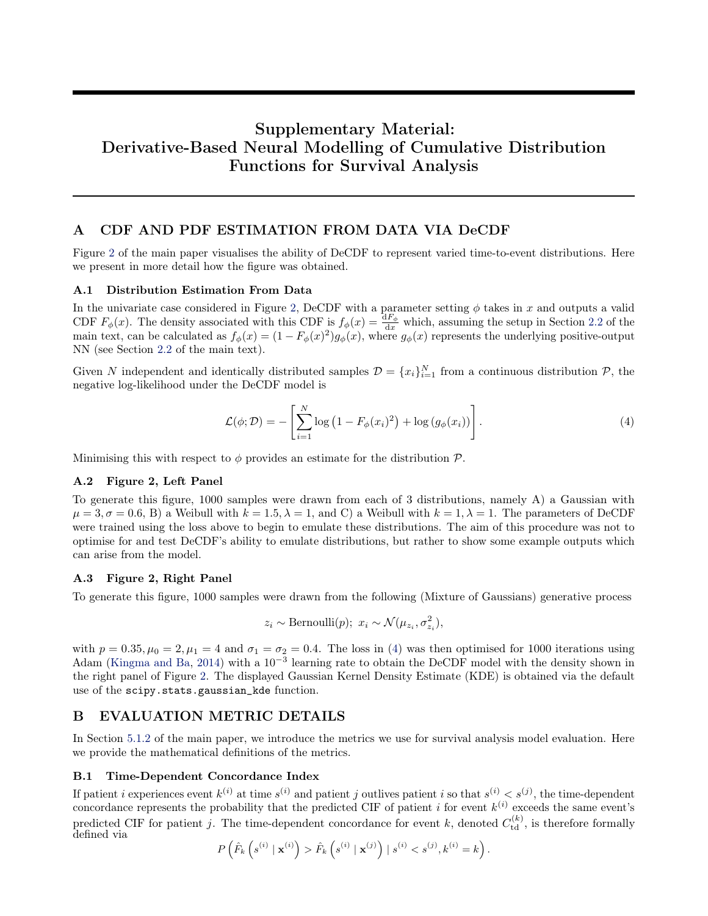# Supplementary Material: Derivative-Based Neural Modelling of Cumulative Distribution Functions for Survival Analysis

# A CDF AND PDF ESTIMATION FROM DATA VIA DeCDF

Figure [2](#page-2-0) of the main paper visualises the ability of DeCDF to represent varied time-to-event distributions. Here we present in more detail how the figure was obtained.

### A.1 Distribution Estimation From Data

In the univariate case considered in Figure [2,](#page-2-0) DeCDF with a parameter setting  $\phi$  takes in x and outputs a valid CDF  $F_{\phi}(x)$ . The density associated with this CDF is  $f_{\phi}(x) = \frac{dF_{\phi}}{dx}$  which, assuming the setup in Section [2.2](#page-2-0) of the main text, can be calculated as  $f_{\phi}(x) = (1 - F_{\phi}(x)^2) g_{\phi}(x)$ , where  $g_{\phi}(x)$  represents the underlying positive-output NN (see Section [2.2](#page-2-0) of the main text).

Given N independent and identically distributed samples  $\mathcal{D} = \{x_i\}_{i=1}^N$  from a continuous distribution  $\mathcal{P}$ , the negative log-likelihood under the DeCDF model is

$$
\mathcal{L}(\phi; \mathcal{D}) = -\left[\sum_{i=1}^{N} \log\left(1 - F_{\phi}(x_i)^2\right) + \log\left(g_{\phi}(x_i)\right)\right].\tag{4}
$$

Minimising this with respect to  $\phi$  provides an estimate for the distribution  $\mathcal{P}$ .

#### A.2 Figure 2, Left Panel

To generate this figure, 1000 samples were drawn from each of 3 distributions, namely A) a Gaussian with  $\mu = 3, \sigma = 0.6, B$  a Weibull with  $k = 1.5, \lambda = 1$ , and C) a Weibull with  $k = 1, \lambda = 1$ . The parameters of DeCDF were trained using the loss above to begin to emulate these distributions. The aim of this procedure was not to optimise for and test DeCDF's ability to emulate distributions, but rather to show some example outputs which can arise from the model.

### A.3 Figure 2, Right Panel

To generate this figure, 1000 samples were drawn from the following (Mixture of Gaussians) generative process

$$
z_i \sim \text{Bernoulli}(p); \ x_i \sim \mathcal{N}(\mu_{z_i}, \sigma_{z_i}^2),
$$

with  $p = 0.35, \mu_0 = 2, \mu_1 = 4$  and  $\sigma_1 = \sigma_2 = 0.4$ . The loss in (4) was then optimised for 1000 iterations using Adam [\(Kingma and Ba,](#page-9-0) [2014\)](#page-9-0) with a 10−<sup>3</sup> learning rate to obtain the DeCDF model with the density shown in the right panel of Figure [2.](#page-2-0) The displayed Gaussian Kernel Density Estimate (KDE) is obtained via the default use of the scipy.stats.gaussian\_kde function.

### B EVALUATION METRIC DETAILS

In Section [5.1.2](#page-5-0) of the main paper, we introduce the metrics we use for survival analysis model evaluation. Here we provide the mathematical definitions of the metrics.

### B.1 Time-Dependent Concordance Index

If patient i experiences event  $k^{(i)}$  at time  $s^{(i)}$  and patient j outlives patient i so that  $s^{(i)} < s^{(j)}$ , the time-dependent concordance represents the probability that the predicted CIF of patient i for event  $k^{(i)}$  exceeds the same event's predicted CIF for patient j. The time-dependent concordance for event k, denoted  $C_{\text{td}}^{(k)}$ , is therefore formally defined via

$$
P\left(\hat{F}_k\left(s^{(i)} \mid \mathbf{x}^{(i)}\right) > \hat{F}_k\left(s^{(i)} \mid \mathbf{x}^{(j)}\right) \mid s^{(i)} < s^{(j)}, k^{(i)} = k\right).
$$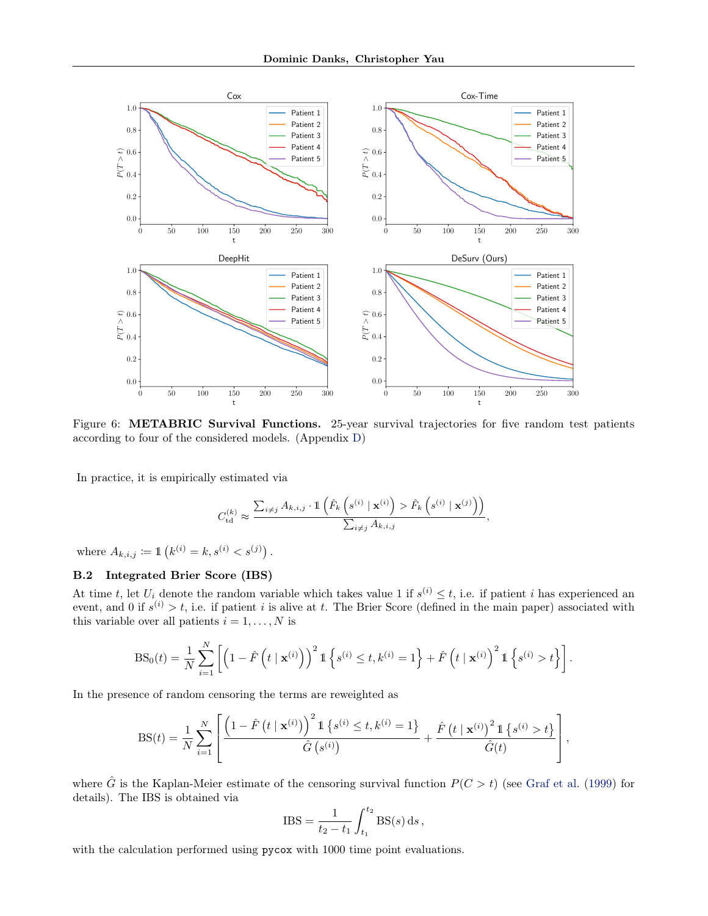<span id="page-12-0"></span>

Figure 6: **METABRIC Survival Functions.** 25-year survival trajectories for five random test patients according to four of the considered models. (Appendix [D\)](#page-15-0)

In practice, it is empirically estimated via

$$
C_{\rm td}^{(k)} \approx \frac{\sum_{i \neq j} A_{k,i,j} \cdot \mathbb{1}\left(\hat{F}_k\left(s^{(i)} \mid \mathbf{x}^{(i)}\right) > \hat{F}_k\left(s^{(i)} \mid \mathbf{x}^{(j)}\right)\right)}{\sum_{i \neq j} A_{k,i,j}},
$$

where  $A_{k,i,j} := \mathbb{1} \left( k^{(i)} = k, s^{(i)} < s^{(j)} \right)$ .

# B.2 Integrated Brier Score (IBS)

At time t, let  $U_i$  denote the random variable which takes value 1 if  $s^{(i)} \leq t$ , i.e. if patient i has experienced an event, and 0 if  $s^{(i)} > t$ , i.e. if patient i is alive at t. The Brier Score (defined in the main paper) associated with this variable over all patients  $i = 1, \ldots, N$  is

$$
BS_0(t) = \frac{1}{N} \sum_{i=1}^{N} \left[ \left( 1 - \hat{F} \left( t \mid \mathbf{x}^{(i)} \right) \right)^2 \mathbb{1} \left\{ s^{(i)} \le t, k^{(i)} = 1 \right\} + \hat{F} \left( t \mid \mathbf{x}^{(i)} \right)^2 \mathbb{1} \left\{ s^{(i)} > t \right\} \right].
$$

In the presence of random censoring the terms are reweighted as

$$
BS(t) = \frac{1}{N} \sum_{i=1}^{N} \left[ \frac{\left(1 - \hat{F}\left(t \mid \mathbf{x}^{(i)}\right)\right)^{2} \mathbb{1}\left\{s^{(i)} \leq t, k^{(i)} = 1\right\}}{\hat{G}\left(s^{(i)}\right)} + \frac{\hat{F}\left(t \mid \mathbf{x}^{(i)}\right)^{2} \mathbb{1}\left\{s^{(i)} > t\right\}}{\hat{G}(t)} \right],
$$

where  $\hat{G}$  is the Kaplan-Meier estimate of the censoring survival function  $P(C > t)$  (see [Graf et al.](#page-9-0) [\(1999\)](#page-9-0) for details). The IBS is obtained via

$$
IBS = \frac{1}{t_2 - t_1} \int_{t_1}^{t_2} BS(s) \, ds,
$$

with the calculation performed using pycox with 1000 time point evaluations.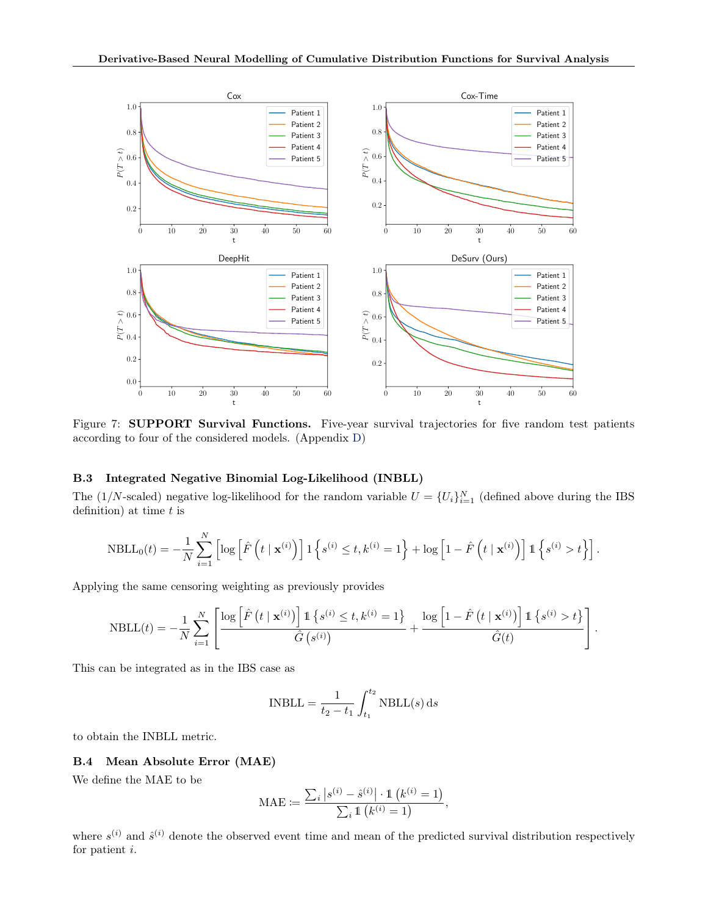<span id="page-13-0"></span>

Figure 7: **SUPPORT Survival Functions.** Five-year survival trajectories for five random test patients according to four of the considered models. (Appendix [D\)](#page-15-0)

#### B.3 Integrated Negative Binomial Log-Likelihood (INBLL)

The (1/N-scaled) negative log-likelihood for the random variable  $U = \{U_i\}_{i=1}^N$  (defined above during the IBS definition) at time  $t$  is

$$
NBLL_0(t) = -\frac{1}{N} \sum_{i=1}^N \left[ \log \left[ \hat{F}\left(t \mid \mathbf{x}^{(i)}\right) \right] \mathbb{1} \left\{ s^{(i)} \le t, k^{(i)} = 1 \right\} + \log \left[1 - \hat{F}\left(t \mid \mathbf{x}^{(i)}\right) \right] \mathbb{1} \left\{ s^{(i)} > t \right\} \right].
$$

Applying the same censoring weighting as previously provides

$$
\mathrm{NBLL}(t) = -\frac{1}{N}\sum_{i=1}^{N}\left[\frac{\log\left[\hat{F}\left(t\mid\mathbf{x}^{(i)}\right)\right]\mathbbm{1}\left\{s^{(i)}\leq t, k^{(i)}=1\right\}}{\hat{G}\left(s^{(i)}\right)} + \frac{\log\left[1-\hat{F}\left(t\mid\mathbf{x}^{(i)}\right)\right]\mathbbm{1}\left\{s^{(i)} > t\right\}}{\hat{G}(t)}\right].
$$

This can be integrated as in the IBS case as

$$
INBLL = \frac{1}{t_2 - t_1} \int_{t_1}^{t_2} NBLL(s) \, ds
$$

to obtain the INBLL metric.

#### B.4 Mean Absolute Error (MAE)

We define the MAE to be

$$
\text{MAE} := \frac{\sum_{i} |s^{(i)} - \hat{s}^{(i)}| \cdot \mathbb{1} \left( k^{(i)} = 1 \right)}{\sum_{i} \mathbb{1} \left( k^{(i)} = 1 \right)},
$$

where  $s^{(i)}$  and  $\hat{s}^{(i)}$  denote the observed event time and mean of the predicted survival distribution respectively for patient i.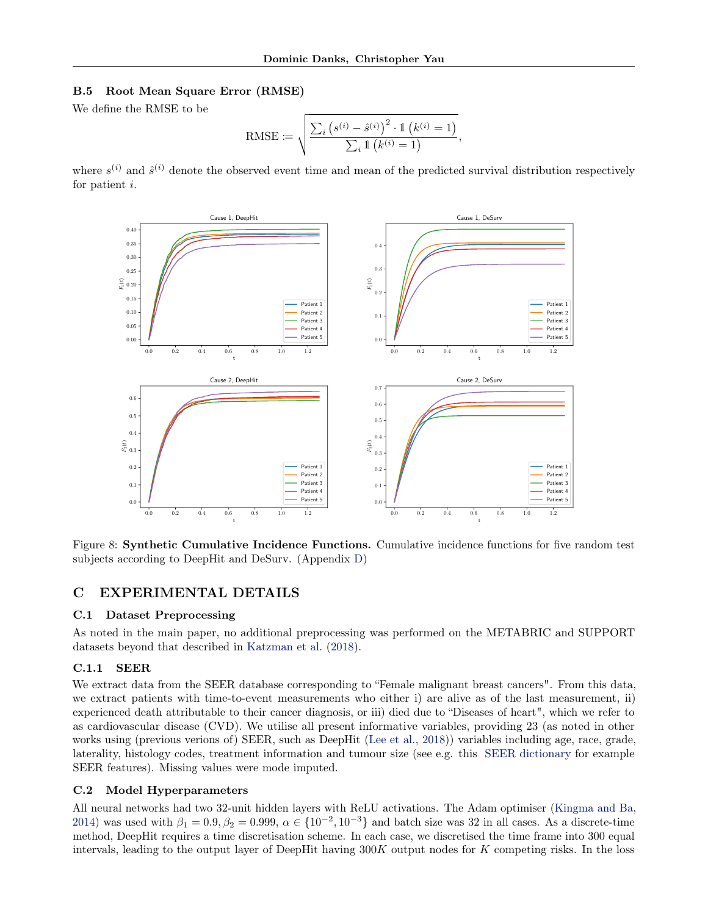#### <span id="page-14-0"></span>B.5 Root Mean Square Error (RMSE)

We define the RMSE to be

RMSE := 
$$
\sqrt{\frac{\sum_{i} (s^{(i)} - \hat{s}^{(i)})^2 \cdot 1 (k^{(i)} = 1)}{\sum_{i} 1 (k^{(i)} = 1)}},
$$

where  $s^{(i)}$  and  $\hat{s}^{(i)}$  denote the observed event time and mean of the predicted survival distribution respectively for patient i.



Figure 8: Synthetic Cumulative Incidence Functions. Cumulative incidence functions for five random test subjects according to DeepHit and DeSurv. (Appendix [D\)](#page-15-0)

# C EXPERIMENTAL DETAILS

### C.1 Dataset Preprocessing

As noted in the main paper, no additional preprocessing was performed on the METABRIC and SUPPORT datasets beyond that described in [Katzman et al.](#page-9-0) [\(2018\)](#page-9-0).

### C.1.1 SEER

We extract data from the SEER database corresponding to "Female malignant breast cancers". From this data, we extract patients with time-to-event measurements who either i) are alive as of the last measurement, ii) experienced death attributable to their cancer diagnosis, or iii) died due to "Diseases of heart", which we refer to as cardiovascular disease (CVD). We utilise all present informative variables, providing 23 (as noted in other works using (previous verions of) SEER, such as DeepHit [\(Lee et al.,](#page-10-0) [2018\)](#page-10-0)) variables including age, race, grade, laterality, histology codes, treatment information and tumour size (see e.g. this [SEER dictionary](https://seer.cancer.gov/data-software/documentation/seerstat/nov2019/TextData.FileDescription.pdf) for example SEER features). Missing values were mode imputed.

### C.2 Model Hyperparameters

All neural networks had two 32-unit hidden layers with ReLU activations. The Adam optimiser [\(Kingma and Ba,](#page-9-0) [2014\)](#page-9-0) was used with  $\beta_1 = 0.9$ ,  $\beta_2 = 0.999$ ,  $\alpha \in \{10^{-2}, 10^{-3}\}$  and batch size was 32 in all cases. As a discrete-time method, DeepHit requires a time discretisation scheme. In each case, we discretised the time frame into 300 equal intervals, leading to the output layer of DeepHit having 300K output nodes for K competing risks. In the loss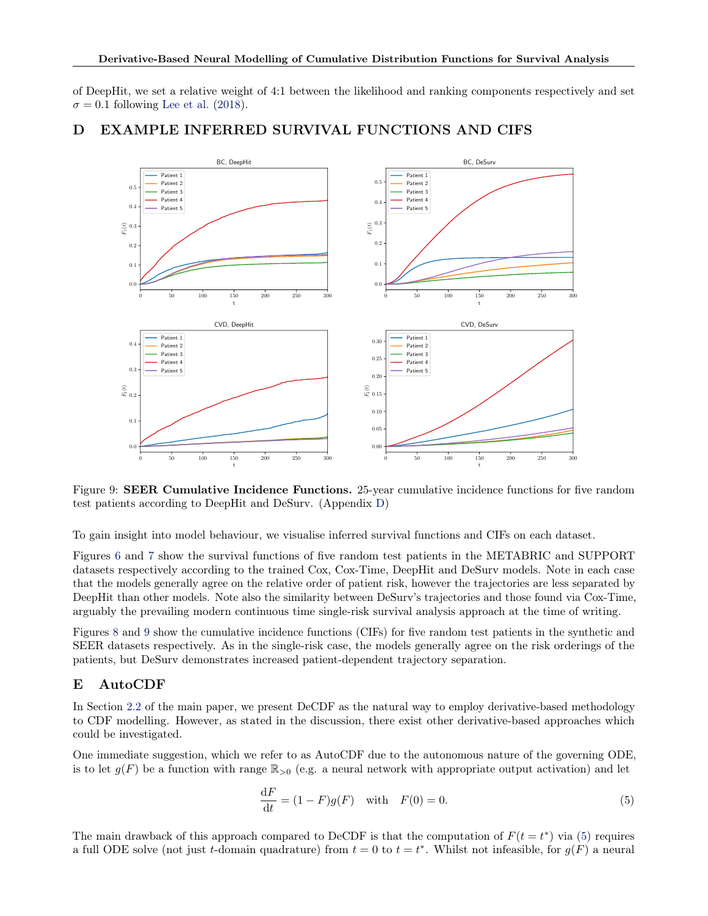<span id="page-15-0"></span>of DeepHit, we set a relative weight of 4:1 between the likelihood and ranking components respectively and set  $\sigma = 0.1$  following [Lee et al.](#page-10-0) [\(2018\)](#page-10-0).



# D EXAMPLE INFERRED SURVIVAL FUNCTIONS AND CIFS

Figure 9: SEER Cumulative Incidence Functions. 25-year cumulative incidence functions for five random test patients according to DeepHit and DeSurv. (Appendix D)

To gain insight into model behaviour, we visualise inferred survival functions and CIFs on each dataset.

Figures [6](#page-12-0) and [7](#page-13-0) show the survival functions of five random test patients in the METABRIC and SUPPORT datasets respectively according to the trained Cox, Cox-Time, DeepHit and DeSurv models. Note in each case that the models generally agree on the relative order of patient risk, however the trajectories are less separated by DeepHit than other models. Note also the similarity between DeSurv's trajectories and those found via Cox-Time, arguably the prevailing modern continuous time single-risk survival analysis approach at the time of writing.

Figures [8](#page-14-0) and 9 show the cumulative incidence functions (CIFs) for five random test patients in the synthetic and SEER datasets respectively. As in the single-risk case, the models generally agree on the risk orderings of the patients, but DeSurv demonstrates increased patient-dependent trajectory separation.

# E AutoCDF

In Section [2.2](#page-2-0) of the main paper, we present DeCDF as the natural way to employ derivative-based methodology to CDF modelling. However, as stated in the discussion, there exist other derivative-based approaches which could be investigated.

One immediate suggestion, which we refer to as AutoCDF due to the autonomous nature of the governing ODE, is to let  $g(F)$  be a function with range  $\mathbb{R}_{>0}$  (e.g. a neural network with appropriate output activation) and let

$$
\frac{\mathrm{d}F}{\mathrm{d}t} = (1 - F)g(F) \quad \text{with} \quad F(0) = 0. \tag{5}
$$

The main drawback of this approach compared to DeCDF is that the computation of  $F(t = t^*)$  via (5) requires a full ODE solve (not just t-domain quadrature) from  $t = 0$  to  $t = t^*$ . Whilst not infeasible, for  $g(F)$  a neural